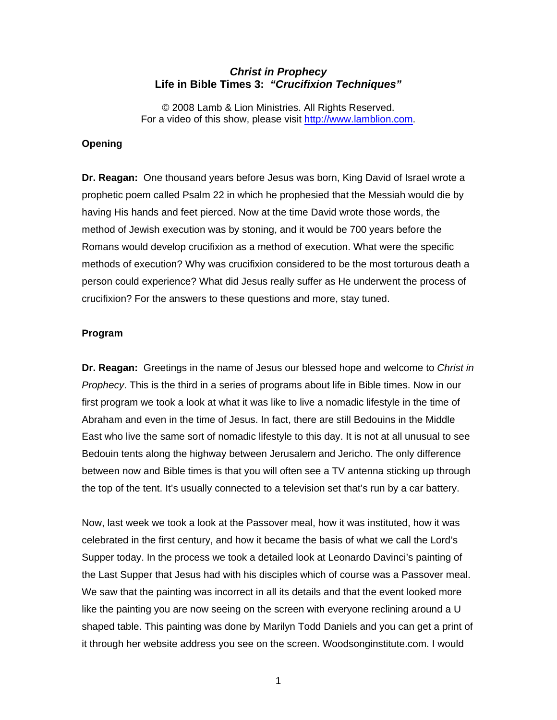## *Christ in Prophecy*  **Life in Bible Times 3:** *"Crucifixion Techniques"*

© 2008 Lamb & Lion Ministries. All Rights Reserved. For a video of this show, please visit [http://www.lamblion.com.](http://www.lamblion.com/)

## **Opening**

**Dr. Reagan:** One thousand years before Jesus was born, King David of Israel wrote a prophetic poem called Psalm 22 in which he prophesied that the Messiah would die by having His hands and feet pierced. Now at the time David wrote those words, the method of Jewish execution was by stoning, and it would be 700 years before the Romans would develop crucifixion as a method of execution. What were the specific methods of execution? Why was crucifixion considered to be the most torturous death a person could experience? What did Jesus really suffer as He underwent the process of crucifixion? For the answers to these questions and more, stay tuned.

#### **Program**

**Dr. Reagan:** Greetings in the name of Jesus our blessed hope and welcome to *Christ in Prophecy*. This is the third in a series of programs about life in Bible times. Now in our first program we took a look at what it was like to live a nomadic lifestyle in the time of Abraham and even in the time of Jesus. In fact, there are still Bedouins in the Middle East who live the same sort of nomadic lifestyle to this day. It is not at all unusual to see Bedouin tents along the highway between Jerusalem and Jericho. The only difference between now and Bible times is that you will often see a TV antenna sticking up through the top of the tent. It's usually connected to a television set that's run by a car battery.

Now, last week we took a look at the Passover meal, how it was instituted, how it was celebrated in the first century, and how it became the basis of what we call the Lord's Supper today. In the process we took a detailed look at Leonardo Davinci's painting of the Last Supper that Jesus had with his disciples which of course was a Passover meal. We saw that the painting was incorrect in all its details and that the event looked more like the painting you are now seeing on the screen with everyone reclining around a U shaped table. This painting was done by Marilyn Todd Daniels and you can get a print of it through her website address you see on the screen. Woodsonginstitute.com. I would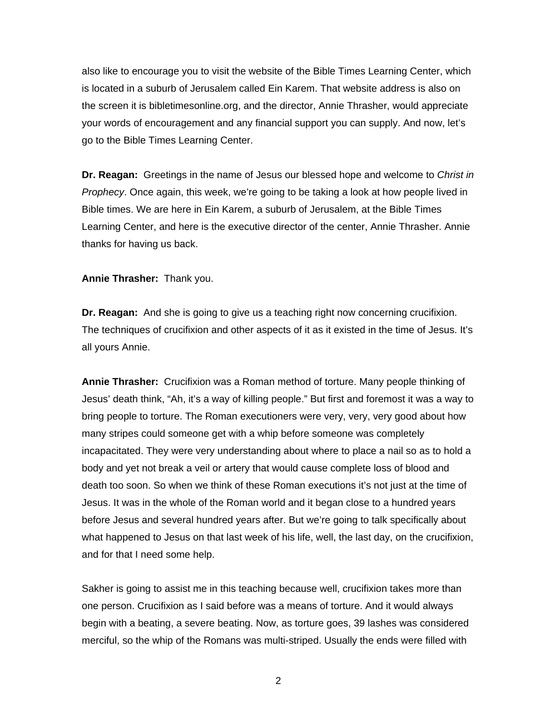also like to encourage you to visit the website of the Bible Times Learning Center, which is located in a suburb of Jerusalem called Ein Karem. That website address is also on the screen it is bibletimesonline.org, and the director, Annie Thrasher, would appreciate your words of encouragement and any financial support you can supply. And now, let's go to the Bible Times Learning Center.

**Dr. Reagan:** Greetings in the name of Jesus our blessed hope and welcome to *Christ in Prophecy*. Once again, this week, we're going to be taking a look at how people lived in Bible times. We are here in Ein Karem, a suburb of Jerusalem, at the Bible Times Learning Center, and here is the executive director of the center, Annie Thrasher. Annie thanks for having us back.

**Annie Thrasher:** Thank you.

**Dr. Reagan:** And she is going to give us a teaching right now concerning crucifixion. The techniques of crucifixion and other aspects of it as it existed in the time of Jesus. It's all yours Annie.

**Annie Thrasher:** Crucifixion was a Roman method of torture. Many people thinking of Jesus' death think, "Ah, it's a way of killing people." But first and foremost it was a way to bring people to torture. The Roman executioners were very, very, very good about how many stripes could someone get with a whip before someone was completely incapacitated. They were very understanding about where to place a nail so as to hold a body and yet not break a veil or artery that would cause complete loss of blood and death too soon. So when we think of these Roman executions it's not just at the time of Jesus. It was in the whole of the Roman world and it began close to a hundred years before Jesus and several hundred years after. But we're going to talk specifically about what happened to Jesus on that last week of his life, well, the last day, on the crucifixion, and for that I need some help.

Sakher is going to assist me in this teaching because well, crucifixion takes more than one person. Crucifixion as I said before was a means of torture. And it would always begin with a beating, a severe beating. Now, as torture goes, 39 lashes was considered merciful, so the whip of the Romans was multi-striped. Usually the ends were filled with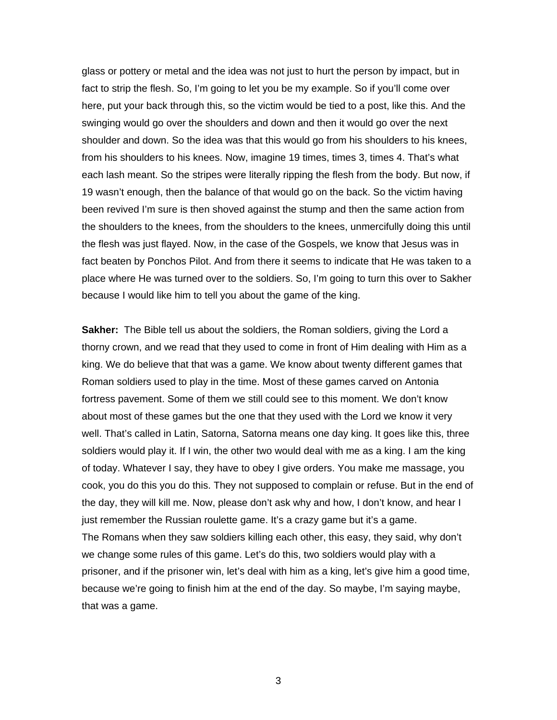glass or pottery or metal and the idea was not just to hurt the person by impact, but in fact to strip the flesh. So, I'm going to let you be my example. So if you'll come over here, put your back through this, so the victim would be tied to a post, like this. And the swinging would go over the shoulders and down and then it would go over the next shoulder and down. So the idea was that this would go from his shoulders to his knees, from his shoulders to his knees. Now, imagine 19 times, times 3, times 4. That's what each lash meant. So the stripes were literally ripping the flesh from the body. But now, if 19 wasn't enough, then the balance of that would go on the back. So the victim having been revived I'm sure is then shoved against the stump and then the same action from the shoulders to the knees, from the shoulders to the knees, unmercifully doing this until the flesh was just flayed. Now, in the case of the Gospels, we know that Jesus was in fact beaten by Ponchos Pilot. And from there it seems to indicate that He was taken to a place where He was turned over to the soldiers. So, I'm going to turn this over to Sakher because I would like him to tell you about the game of the king.

**Sakher:** The Bible tell us about the soldiers, the Roman soldiers, giving the Lord a thorny crown, and we read that they used to come in front of Him dealing with Him as a king. We do believe that that was a game. We know about twenty different games that Roman soldiers used to play in the time. Most of these games carved on Antonia fortress pavement. Some of them we still could see to this moment. We don't know about most of these games but the one that they used with the Lord we know it very well. That's called in Latin, Satorna, Satorna means one day king. It goes like this, three soldiers would play it. If I win, the other two would deal with me as a king. I am the king of today. Whatever I say, they have to obey I give orders. You make me massage, you cook, you do this you do this. They not supposed to complain or refuse. But in the end of the day, they will kill me. Now, please don't ask why and how, I don't know, and hear I just remember the Russian roulette game. It's a crazy game but it's a game. The Romans when they saw soldiers killing each other, this easy, they said, why don't we change some rules of this game. Let's do this, two soldiers would play with a prisoner, and if the prisoner win, let's deal with him as a king, let's give him a good time, because we're going to finish him at the end of the day. So maybe, I'm saying maybe, that was a game.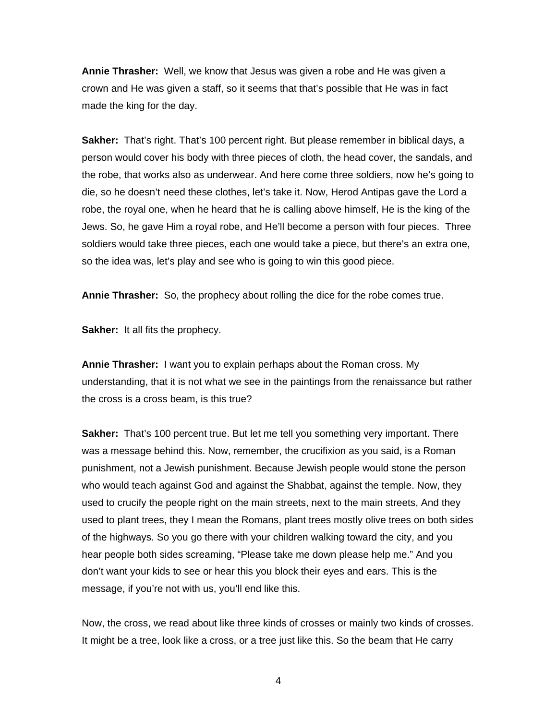**Annie Thrasher:** Well, we know that Jesus was given a robe and He was given a crown and He was given a staff, so it seems that that's possible that He was in fact made the king for the day.

**Sakher:** That's right. That's 100 percent right. But please remember in biblical days, a person would cover his body with three pieces of cloth, the head cover, the sandals, and the robe, that works also as underwear. And here come three soldiers, now he's going to die, so he doesn't need these clothes, let's take it. Now, Herod Antipas gave the Lord a robe, the royal one, when he heard that he is calling above himself, He is the king of the Jews. So, he gave Him a royal robe, and He'll become a person with four pieces. Three soldiers would take three pieces, each one would take a piece, but there's an extra one, so the idea was, let's play and see who is going to win this good piece.

**Annie Thrasher:** So, the prophecy about rolling the dice for the robe comes true.

**Sakher:** It all fits the prophecy.

**Annie Thrasher:** I want you to explain perhaps about the Roman cross. My understanding, that it is not what we see in the paintings from the renaissance but rather the cross is a cross beam, is this true?

**Sakher:** That's 100 percent true. But let me tell you something very important. There was a message behind this. Now, remember, the crucifixion as you said, is a Roman punishment, not a Jewish punishment. Because Jewish people would stone the person who would teach against God and against the Shabbat, against the temple. Now, they used to crucify the people right on the main streets, next to the main streets, And they used to plant trees, they I mean the Romans, plant trees mostly olive trees on both sides of the highways. So you go there with your children walking toward the city, and you hear people both sides screaming, "Please take me down please help me." And you don't want your kids to see or hear this you block their eyes and ears. This is the message, if you're not with us, you'll end like this.

Now, the cross, we read about like three kinds of crosses or mainly two kinds of crosses. It might be a tree, look like a cross, or a tree just like this. So the beam that He carry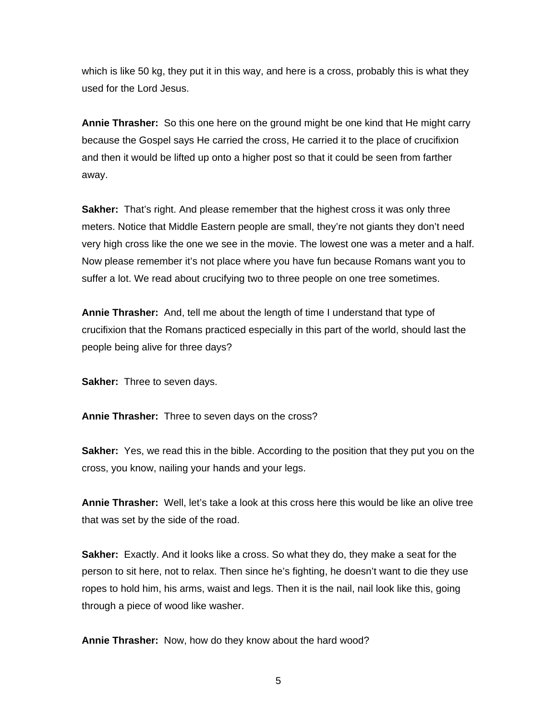which is like 50 kg, they put it in this way, and here is a cross, probably this is what they used for the Lord Jesus.

**Annie Thrasher:** So this one here on the ground might be one kind that He might carry because the Gospel says He carried the cross, He carried it to the place of crucifixion and then it would be lifted up onto a higher post so that it could be seen from farther away.

**Sakher:** That's right. And please remember that the highest cross it was only three meters. Notice that Middle Eastern people are small, they're not giants they don't need very high cross like the one we see in the movie. The lowest one was a meter and a half. Now please remember it's not place where you have fun because Romans want you to suffer a lot. We read about crucifying two to three people on one tree sometimes.

**Annie Thrasher:** And, tell me about the length of time I understand that type of crucifixion that the Romans practiced especially in this part of the world, should last the people being alive for three days?

**Sakher:** Three to seven days.

**Annie Thrasher:** Three to seven days on the cross?

**Sakher:** Yes, we read this in the bible. According to the position that they put you on the cross, you know, nailing your hands and your legs.

**Annie Thrasher:** Well, let's take a look at this cross here this would be like an olive tree that was set by the side of the road.

**Sakher:** Exactly. And it looks like a cross. So what they do, they make a seat for the person to sit here, not to relax. Then since he's fighting, he doesn't want to die they use ropes to hold him, his arms, waist and legs. Then it is the nail, nail look like this, going through a piece of wood like washer.

**Annie Thrasher:** Now, how do they know about the hard wood?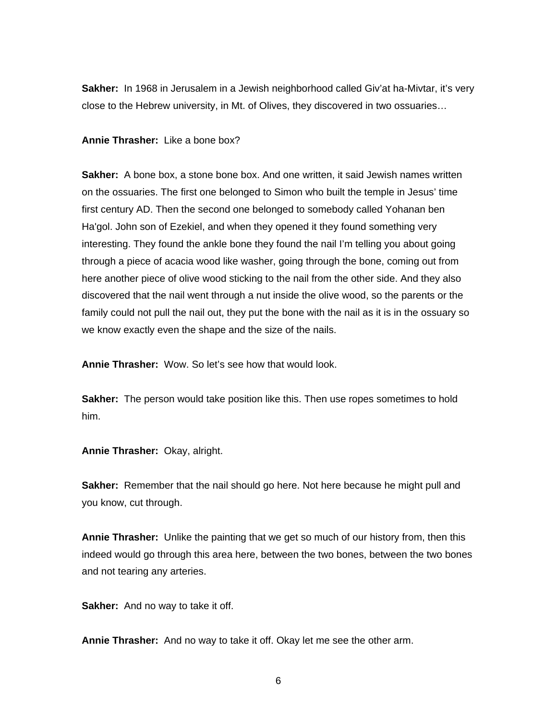**Sakher:** In 1968 in Jerusalem in a Jewish neighborhood called Giv'at ha-Mivtar, it's very close to the Hebrew university, in Mt. of Olives, they discovered in two ossuaries…

## **Annie Thrasher:** Like a bone box?

**Sakher:** A bone box, a stone bone box. And one written, it said Jewish names written on the ossuaries. The first one belonged to Simon who built the temple in Jesus' time first century AD. Then the second one belonged to somebody called Yohanan ben Ha'gol. John son of Ezekiel, and when they opened it they found something very interesting. They found the ankle bone they found the nail I'm telling you about going through a piece of acacia wood like washer, going through the bone, coming out from here another piece of olive wood sticking to the nail from the other side. And they also discovered that the nail went through a nut inside the olive wood, so the parents or the family could not pull the nail out, they put the bone with the nail as it is in the ossuary so we know exactly even the shape and the size of the nails.

**Annie Thrasher:** Wow. So let's see how that would look.

**Sakher:** The person would take position like this. Then use ropes sometimes to hold him.

**Annie Thrasher:** Okay, alright.

**Sakher:** Remember that the nail should go here. Not here because he might pull and you know, cut through.

**Annie Thrasher:** Unlike the painting that we get so much of our history from, then this indeed would go through this area here, between the two bones, between the two bones and not tearing any arteries.

**Sakher:** And no way to take it off.

**Annie Thrasher:** And no way to take it off. Okay let me see the other arm.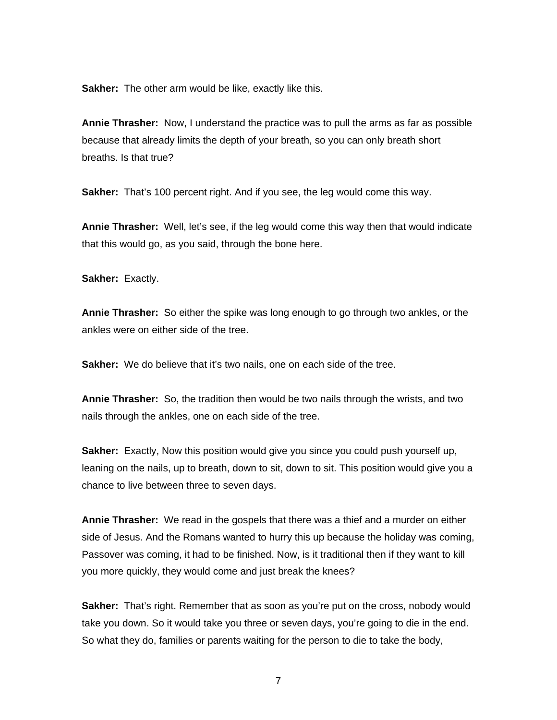**Sakher:** The other arm would be like, exactly like this.

**Annie Thrasher:** Now, I understand the practice was to pull the arms as far as possible because that already limits the depth of your breath, so you can only breath short breaths. Is that true?

**Sakher:** That's 100 percent right. And if you see, the leg would come this way.

**Annie Thrasher:** Well, let's see, if the leg would come this way then that would indicate that this would go, as you said, through the bone here.

**Sakher:** Exactly.

**Annie Thrasher:** So either the spike was long enough to go through two ankles, or the ankles were on either side of the tree.

Sakher: We do believe that it's two nails, one on each side of the tree.

**Annie Thrasher:** So, the tradition then would be two nails through the wrists, and two nails through the ankles, one on each side of the tree.

**Sakher:** Exactly, Now this position would give you since you could push yourself up, leaning on the nails, up to breath, down to sit, down to sit. This position would give you a chance to live between three to seven days.

**Annie Thrasher:** We read in the gospels that there was a thief and a murder on either side of Jesus. And the Romans wanted to hurry this up because the holiday was coming, Passover was coming, it had to be finished. Now, is it traditional then if they want to kill you more quickly, they would come and just break the knees?

**Sakher:** That's right. Remember that as soon as you're put on the cross, nobody would take you down. So it would take you three or seven days, you're going to die in the end. So what they do, families or parents waiting for the person to die to take the body,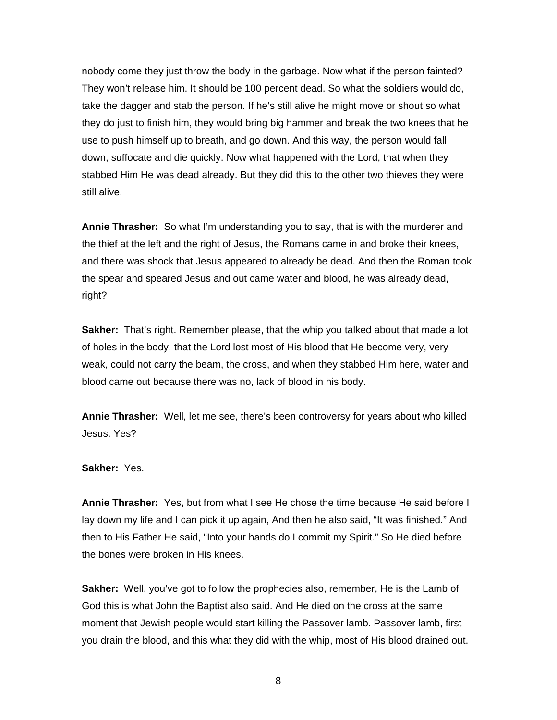nobody come they just throw the body in the garbage. Now what if the person fainted? They won't release him. It should be 100 percent dead. So what the soldiers would do, take the dagger and stab the person. If he's still alive he might move or shout so what they do just to finish him, they would bring big hammer and break the two knees that he use to push himself up to breath, and go down. And this way, the person would fall down, suffocate and die quickly. Now what happened with the Lord, that when they stabbed Him He was dead already. But they did this to the other two thieves they were still alive.

**Annie Thrasher:** So what I'm understanding you to say, that is with the murderer and the thief at the left and the right of Jesus, the Romans came in and broke their knees, and there was shock that Jesus appeared to already be dead. And then the Roman took the spear and speared Jesus and out came water and blood, he was already dead, right?

**Sakher:** That's right. Remember please, that the whip you talked about that made a lot of holes in the body, that the Lord lost most of His blood that He become very, very weak, could not carry the beam, the cross, and when they stabbed Him here, water and blood came out because there was no, lack of blood in his body.

**Annie Thrasher:** Well, let me see, there's been controversy for years about who killed Jesus. Yes?

#### **Sakher:** Yes.

**Annie Thrasher:** Yes, but from what I see He chose the time because He said before I lay down my life and I can pick it up again, And then he also said, "It was finished." And then to His Father He said, "Into your hands do I commit my Spirit." So He died before the bones were broken in His knees.

**Sakher:** Well, you've got to follow the prophecies also, remember, He is the Lamb of God this is what John the Baptist also said. And He died on the cross at the same moment that Jewish people would start killing the Passover lamb. Passover lamb, first you drain the blood, and this what they did with the whip, most of His blood drained out.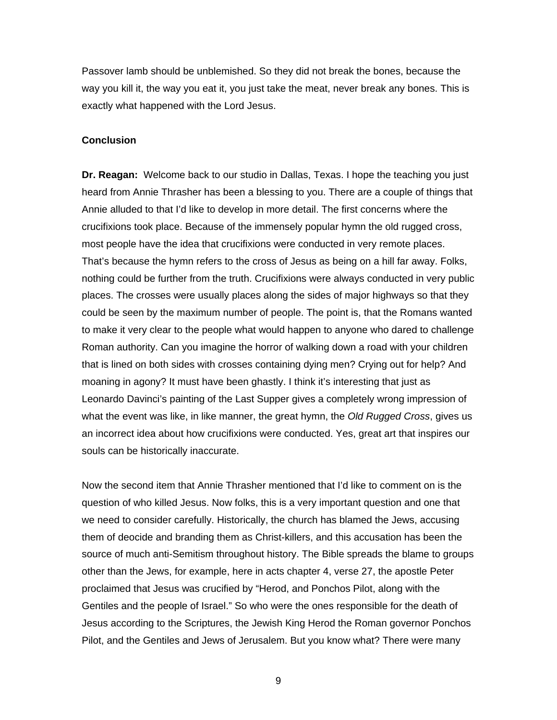Passover lamb should be unblemished. So they did not break the bones, because the way you kill it, the way you eat it, you just take the meat, never break any bones. This is exactly what happened with the Lord Jesus.

## **Conclusion**

**Dr. Reagan:** Welcome back to our studio in Dallas, Texas. I hope the teaching you just heard from Annie Thrasher has been a blessing to you. There are a couple of things that Annie alluded to that I'd like to develop in more detail. The first concerns where the crucifixions took place. Because of the immensely popular hymn the old rugged cross, most people have the idea that crucifixions were conducted in very remote places. That's because the hymn refers to the cross of Jesus as being on a hill far away. Folks, nothing could be further from the truth. Crucifixions were always conducted in very public places. The crosses were usually places along the sides of major highways so that they could be seen by the maximum number of people. The point is, that the Romans wanted to make it very clear to the people what would happen to anyone who dared to challenge Roman authority. Can you imagine the horror of walking down a road with your children that is lined on both sides with crosses containing dying men? Crying out for help? And moaning in agony? It must have been ghastly. I think it's interesting that just as Leonardo Davinci's painting of the Last Supper gives a completely wrong impression of what the event was like, in like manner, the great hymn, the *Old Rugged Cross*, gives us an incorrect idea about how crucifixions were conducted. Yes, great art that inspires our souls can be historically inaccurate.

Now the second item that Annie Thrasher mentioned that I'd like to comment on is the question of who killed Jesus. Now folks, this is a very important question and one that we need to consider carefully. Historically, the church has blamed the Jews, accusing them of deocide and branding them as Christ-killers, and this accusation has been the source of much anti-Semitism throughout history. The Bible spreads the blame to groups other than the Jews, for example, here in acts chapter 4, verse 27, the apostle Peter proclaimed that Jesus was crucified by "Herod, and Ponchos Pilot, along with the Gentiles and the people of Israel." So who were the ones responsible for the death of Jesus according to the Scriptures, the Jewish King Herod the Roman governor Ponchos Pilot, and the Gentiles and Jews of Jerusalem. But you know what? There were many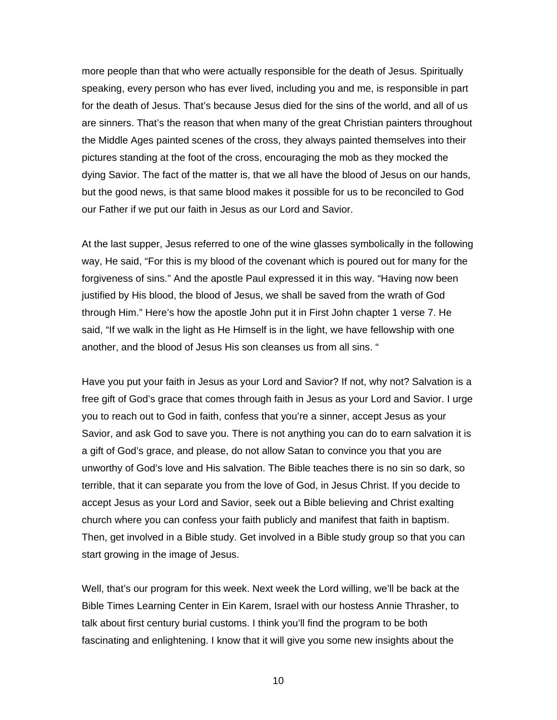more people than that who were actually responsible for the death of Jesus. Spiritually speaking, every person who has ever lived, including you and me, is responsible in part for the death of Jesus. That's because Jesus died for the sins of the world, and all of us are sinners. That's the reason that when many of the great Christian painters throughout the Middle Ages painted scenes of the cross, they always painted themselves into their pictures standing at the foot of the cross, encouraging the mob as they mocked the dying Savior. The fact of the matter is, that we all have the blood of Jesus on our hands, but the good news, is that same blood makes it possible for us to be reconciled to God our Father if we put our faith in Jesus as our Lord and Savior.

At the last supper, Jesus referred to one of the wine glasses symbolically in the following way, He said, "For this is my blood of the covenant which is poured out for many for the forgiveness of sins." And the apostle Paul expressed it in this way. "Having now been justified by His blood, the blood of Jesus, we shall be saved from the wrath of God through Him." Here's how the apostle John put it in First John chapter 1 verse 7. He said, "If we walk in the light as He Himself is in the light, we have fellowship with one another, and the blood of Jesus His son cleanses us from all sins. "

Have you put your faith in Jesus as your Lord and Savior? If not, why not? Salvation is a free gift of God's grace that comes through faith in Jesus as your Lord and Savior. I urge you to reach out to God in faith, confess that you're a sinner, accept Jesus as your Savior, and ask God to save you. There is not anything you can do to earn salvation it is a gift of God's grace, and please, do not allow Satan to convince you that you are unworthy of God's love and His salvation. The Bible teaches there is no sin so dark, so terrible, that it can separate you from the love of God, in Jesus Christ. If you decide to accept Jesus as your Lord and Savior, seek out a Bible believing and Christ exalting church where you can confess your faith publicly and manifest that faith in baptism. Then, get involved in a Bible study. Get involved in a Bible study group so that you can start growing in the image of Jesus.

Well, that's our program for this week. Next week the Lord willing, we'll be back at the Bible Times Learning Center in Ein Karem, Israel with our hostess Annie Thrasher, to talk about first century burial customs. I think you'll find the program to be both fascinating and enlightening. I know that it will give you some new insights about the